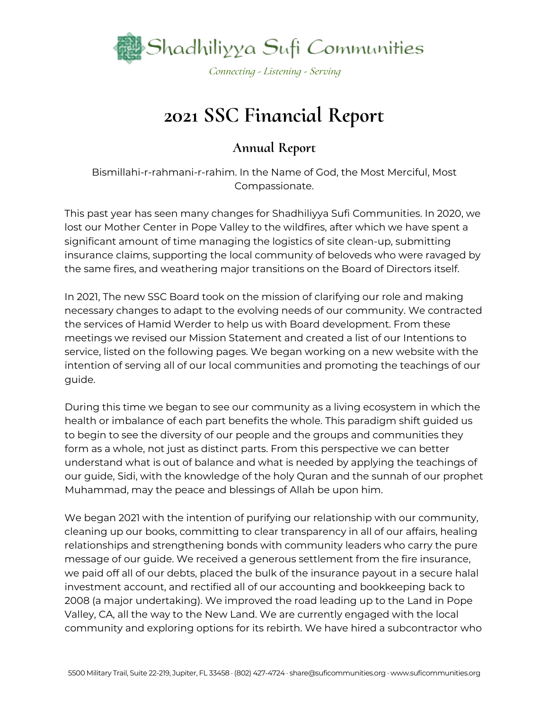

## **2021 SSC Financial Report**

### **Annual Report**

Bismillahi-r-rahmani-r-rahim. In the Name of God, the Most Merciful, Most Compassionate.

This past year has seen many changes for Shadhiliyya Sufi Communities. In 2020, we lost our Mother Center in Pope Valley to the wildfires, after which we have spent a significant amount of time managing the logistics of site clean-up, submitting insurance claims, supporting the local community of beloveds who were ravaged by the same fires, and weathering major transitions on the Board of Directors itself.

In 2021, The new SSC Board took on the mission of clarifying our role and making necessary changes to adapt to the evolving needs of our community. We contracted the services of Hamid Werder to help us with Board development. From these meetings we revised our Mission Statement and created a list of our Intentions to service, listed on the following pages. We began working on a new website with the intention of serving all of our local communities and promoting the teachings of our guide.

During this time we began to see our community as a living ecosystem in which the health or imbalance of each part benefits the whole. This paradigm shift guided us to begin to see the diversity of our people and the groups and communities they form as a whole, not just as distinct parts. From this perspective we can better understand what is out of balance and what is needed by applying the teachings of our guide, Sidi, with the knowledge of the holy Quran and the sunnah of our prophet Muhammad, may the peace and blessings of Allah be upon him.

We began 2021 with the intention of purifying our relationship with our community, cleaning up our books, committing to clear transparency in all of our affairs, healing relationships and strengthening bonds with community leaders who carry the pure message of our guide. We received a generous settlement from the fire insurance, we paid off all of our debts, placed the bulk of the insurance payout in a secure halal investment account, and rectified all of our accounting and bookkeeping back to 2008 (a major undertaking). We improved the road leading up to the Land in Pope Valley, CA, all the way to the New Land. We are currently engaged with the local community and exploring options for its rebirth. We have hired a subcontractor who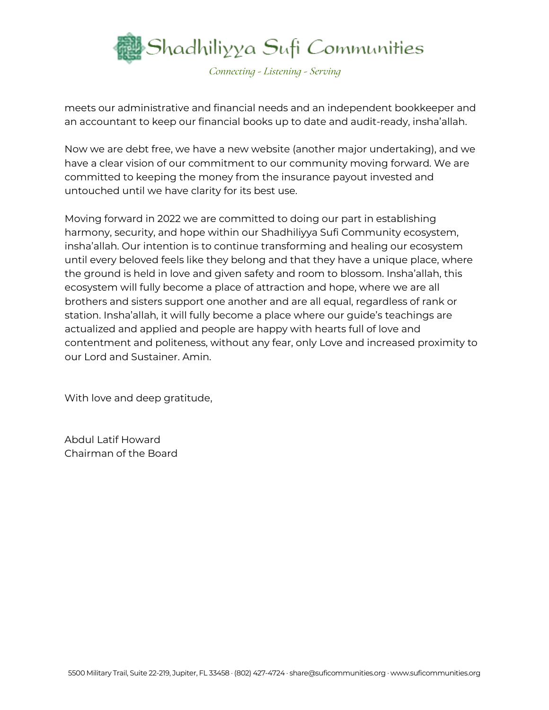

meets our administrative and financial needs and an independent bookkeeper and an accountant to keep our financial books up to date and audit-ready, insha'allah.

Now we are debt free, we have a new website (another major undertaking), and we have a clear vision of our commitment to our community moving forward. We are committed to keeping the money from the insurance payout invested and untouched until we have clarity for its best use.

Moving forward in 2022 we are committed to doing our part in establishing harmony, security, and hope within our Shadhiliyya Sufi Community ecosystem, insha'allah. Our intention is to continue transforming and healing our ecosystem until every beloved feels like they belong and that they have a unique place, where the ground is held in love and given safety and room to blossom. Insha'allah, this ecosystem will fully become a place of attraction and hope, where we are all brothers and sisters support one another and are all equal, regardless of rank or station. Insha'allah, it will fully become a place where our guide's teachings are actualized and applied and people are happy with hearts full of love and contentment and politeness, without any fear, only Love and increased proximity to our Lord and Sustainer. Amin.

With love and deep gratitude,

Abdul Latif Howard Chairman of the Board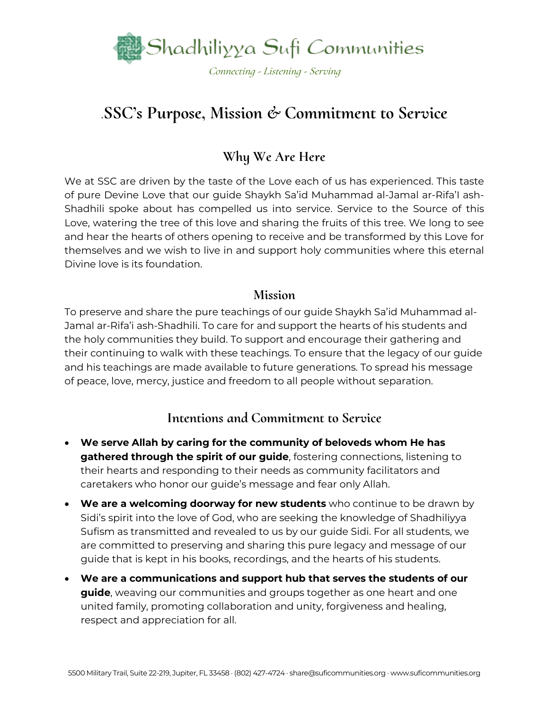

## .**SSC's Purpose, Mission & Commitment to Service**

### **Why We Are Here**

We at SSC are driven by the taste of the Love each of us has experienced. This taste of pure Devine Love that our guide Shaykh Sa'id Muhammad al-Jamal ar-Rifa'I ash-Shadhili spoke about has compelled us into service. Service to the Source of this Love, watering the tree of this love and sharing the fruits of this tree. We long to see and hear the hearts of others opening to receive and be transformed by this Love for themselves and we wish to live in and support holy communities where this eternal Divine love is its foundation.

### **Mission**

To preserve and share the pure teachings of our guide Shaykh Sa'id Muhammad al-Jamal ar-Rifa'i ash-Shadhili. To care for and support the hearts of his students and the holy communities they build. To support and encourage their gathering and their continuing to walk with these teachings. To ensure that the legacy of our guide and his teachings are made available to future generations. To spread his message of peace, love, mercy, justice and freedom to all people without separation.

### **Intentions and Commitment to Service**

- **We serve Allah by caring for the community of beloveds whom He has gathered through the spirit of our guide**, fostering connections, listening to their hearts and responding to their needs as community facilitators and caretakers who honor our guide's message and fear only Allah.
- **We are a welcoming doorway for new students** who continue to be drawn by Sidi's spirit into the love of God, who are seeking the knowledge of Shadhiliyya Sufism as transmitted and revealed to us by our guide Sidi. For all students, we are committed to preserving and sharing this pure legacy and message of our guide that is kept in his books, recordings, and the hearts of his students.
- **We are a communications and support hub that serves the students of our guide**, weaving our communities and groups together as one heart and one united family, promoting collaboration and unity, forgiveness and healing, respect and appreciation for all.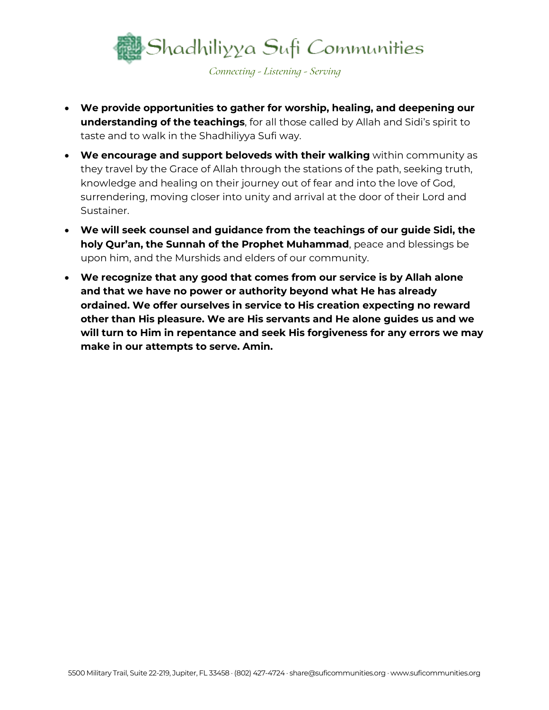

- **We provide opportunities to gather for worship, healing, and deepening our understanding of the teachings**, for all those called by Allah and Sidi's spirit to taste and to walk in the Shadhiliyya Sufi way.
- **We encourage and support beloveds with their walking** within community as they travel by the Grace of Allah through the stations of the path, seeking truth, knowledge and healing on their journey out of fear and into the love of God, surrendering, moving closer into unity and arrival at the door of their Lord and Sustainer.
- **We will seek counsel and guidance from the teachings of our guide Sidi, the holy Qur'an, the Sunnah of the Prophet Muhammad**, peace and blessings be upon him, and the Murshids and elders of our community.
- **We recognize that any good that comes from our service is by Allah alone and that we have no power or authority beyond what He has already ordained. We offer ourselves in service to His creation expecting no reward other than His pleasure. We are His servants and He alone guides us and we will turn to Him in repentance and seek His forgiveness for any errors we may make in our attempts to serve. Amin.**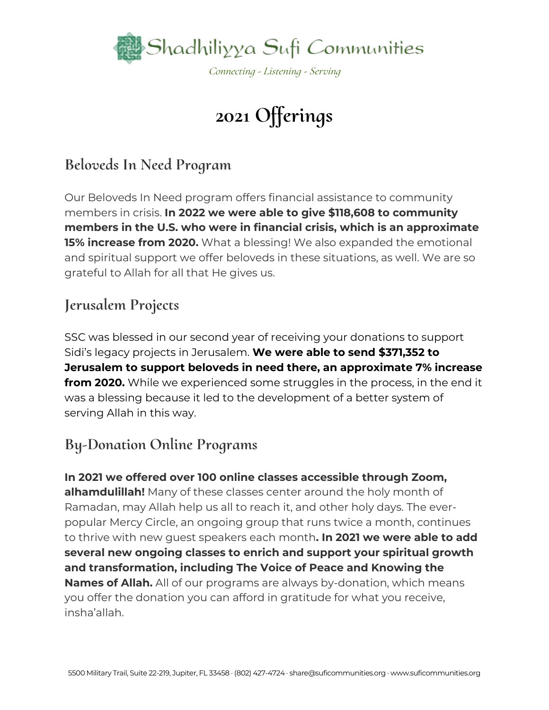

# **2021 Offerings**

## **Beloveds In Need Program**

Our Beloveds In Need program offers financial assistance to community members in crisis. **In 2022 we were able to give \$118,608 to community members in the U.S. who were in financial crisis, which is an approximate 15% increase from 2020.** What a blessing! We also expanded the emotional and spiritual support we offer beloveds in these situations, as well. We are so grateful to Allah for all that He gives us.

## **Jerusalem Projects**

SSC was blessed in our second year of receiving your donations to support Sidi's legacy projects in Jerusalem. **We were able to send \$371,352 to Jerusalem to support beloveds in need there, an approximate 7% increase from 2020.** While we experienced some struggles in the process, in the end it was a blessing because it led to the development of a better system of serving Allah in this way.

## **By-Donation Online Programs**

**In 2021 we offered over 100 online classes accessible through Zoom, alhamdulillah!** Many of these classes center around the holy month of Ramadan, may Allah help us all to reach it, and other holy days. The everpopular Mercy Circle, an ongoing group that runs twice a month, continues to thrive with new guest speakers each month**. In 2021 we were able to add several new ongoing classes to enrich and support your spiritual growth and transformation, including The Voice of Peace and Knowing the Names of Allah.** All of our programs are always by-donation, which means you offer the donation you can afford in gratitude for what you receive, insha'allah.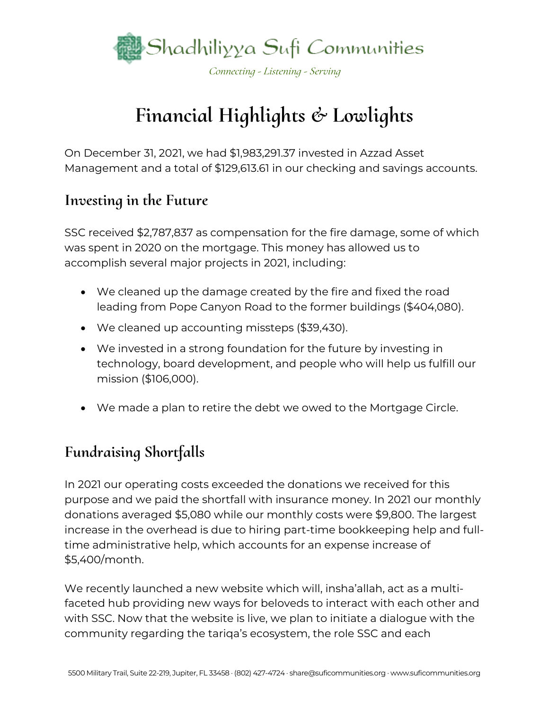

## **Financial Highlights & Lowlights**

On December 31, 2021, we had \$1,983,291.37 invested in Azzad Asset Management and a total of \$129,613.61 in our checking and savings accounts.

### **Investing in the Future**

SSC received \$2,787,837 as compensation for the fire damage, some of which was spent in 2020 on the mortgage. This money has allowed us to accomplish several major projects in 2021, including:

- We cleaned up the damage created by the fire and fixed the road leading from Pope Canyon Road to the former buildings (\$404,080).
- We cleaned up accounting missteps (\$39,430).
- We invested in a strong foundation for the future by investing in technology, board development, and people who will help us fulfill our mission (\$106,000).
- We made a plan to retire the debt we owed to the Mortgage Circle.

## **Fundraising Shortfalls**

In 2021 our operating costs exceeded the donations we received for this purpose and we paid the shortfall with insurance money. In 2021 our monthly donations averaged \$5,080 while our monthly costs were \$9,800. The largest increase in the overhead is due to hiring part-time bookkeeping help and fulltime administrative help, which accounts for an expense increase of \$5,400/month.

We recently launched a new website which will, insha'allah, act as a multifaceted hub providing new ways for beloveds to interact with each other and with SSC. Now that the website is live, we plan to initiate a dialogue with the community regarding the tariqa's ecosystem, the role SSC and each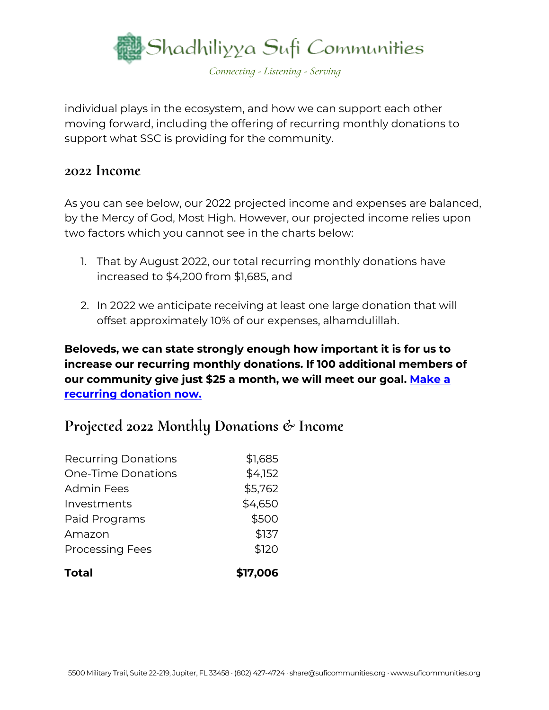

individual plays in the ecosystem, and how we can support each other moving forward, including the offering of recurring monthly donations to support what SSC is providing for the community.

### **2022 Income**

As you can see below, our 2022 projected income and expenses are balanced, by the Mercy of God, Most High. However, our projected income relies upon two factors which you cannot see in the charts below:

- 1. That by August 2022, our total recurring monthly donations have increased to \$4,200 from \$1,685, and
- 2. In 2022 we anticipate receiving at least one large donation that will offset approximately 10% of our expenses, alhamdulillah.

**Beloveds, we can state strongly enough how important it is for us to increase our recurring monthly donations. If 100 additional members of our community give just \$25 a month, we will meet our goal. [Make a](https://support.suficommunities.org/supportourmission)  [recurring donation now.](https://support.suficommunities.org/supportourmission)**

### **Projected 2022 Monthly Donations & Income**

| <b>Total</b>               | \$17,006 |
|----------------------------|----------|
| <b>Processing Fees</b>     | \$120    |
| Amazon                     | \$137    |
| Paid Programs              | \$500    |
| Investments                | \$4,650  |
| <b>Admin Fees</b>          | \$5,762  |
| <b>One-Time Donations</b>  | \$4,152  |
| <b>Recurring Donations</b> | \$1,685  |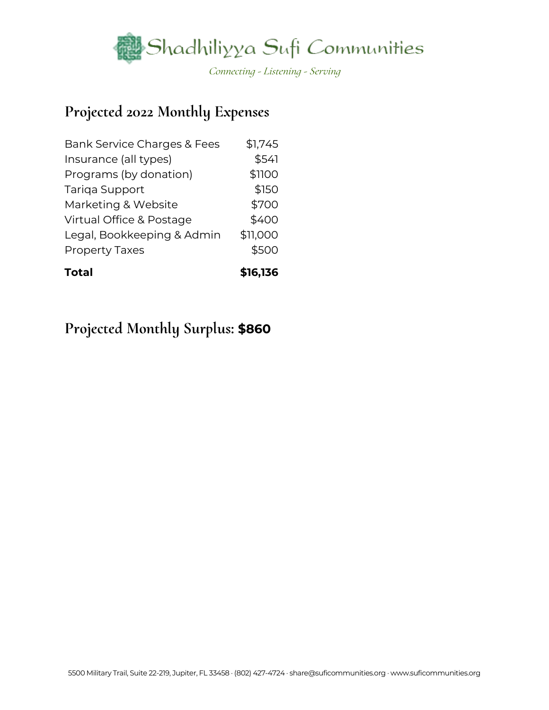

### **Projected 2022 Monthly Expenses**

| <b>Total</b>                           | \$16,136 |
|----------------------------------------|----------|
| <b>Property Taxes</b>                  | \$500    |
| Legal, Bookkeeping & Admin             | \$11,000 |
| Virtual Office & Postage               | \$400    |
| Marketing & Website                    | \$700    |
| Tariga Support                         | \$150    |
| Programs (by donation)                 | \$1100   |
| Insurance (all types)                  | \$541    |
| <b>Bank Service Charges &amp; Fees</b> | \$1,745  |

### **Projected Monthly Surplus: \$860**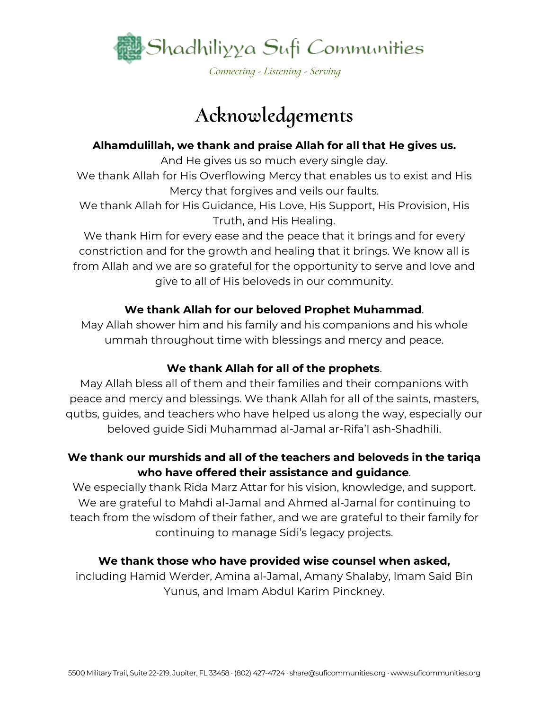

# **Acknowledgements**

#### **Alhamdulillah, we thank and praise Allah for all that He gives us.**

And He gives us so much every single day.

We thank Allah for His Overflowing Mercy that enables us to exist and His Mercy that forgives and veils our faults.

We thank Allah for His Guidance, His Love, His Support, His Provision, His Truth, and His Healing.

We thank Him for every ease and the peace that it brings and for every constriction and for the growth and healing that it brings. We know all is from Allah and we are so grateful for the opportunity to serve and love and give to all of His beloveds in our community.

#### **We thank Allah for our beloved Prophet Muhammad**.

May Allah shower him and his family and his companions and his whole ummah throughout time with blessings and mercy and peace.

### **We thank Allah for all of the prophets**.

May Allah bless all of them and their families and their companions with peace and mercy and blessings. We thank Allah for all of the saints, masters, qutbs, guides, and teachers who have helped us along the way, especially our beloved guide Sidi Muhammad al-Jamal ar-Rifa'I ash-Shadhili.

### **We thank our murshids and all of the teachers and beloveds in the tariqa who have offered their assistance and guidance**.

We especially thank Rida Marz Attar for his vision, knowledge, and support. We are grateful to Mahdi al-Jamal and Ahmed al-Jamal for continuing to teach from the wisdom of their father, and we are grateful to their family for continuing to manage Sidi's legacy projects.

### **We thank those who have provided wise counsel when asked,**

including Hamid Werder, Amina al-Jamal, Amany Shalaby, Imam Said Bin Yunus, and Imam Abdul Karim Pinckney.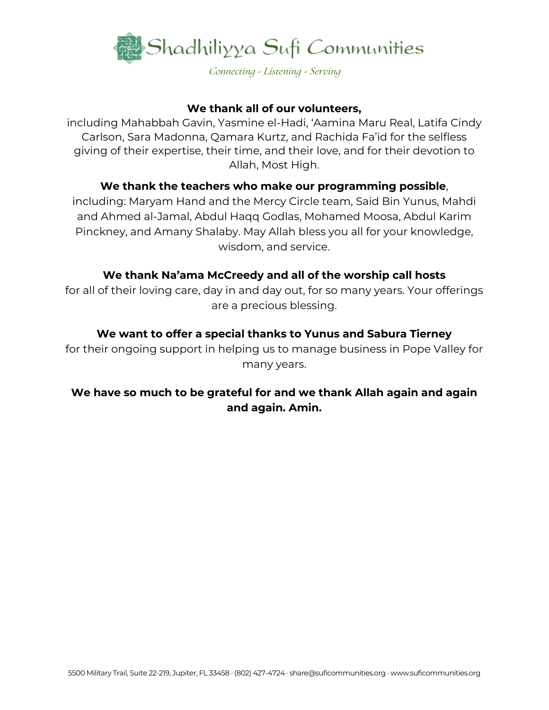

#### **We thank all of our volunteers,**

including Mahabbah Gavin, Yasmine el-Hadi, 'Aamina Maru Real, Latifa Cindy Carlson, Sara Madonna, Qamara Kurtz, and Rachida Fa'id for the selfless giving of their expertise, their time, and their love, and for their devotion to Allah, Most High.

#### **We thank the teachers who make our programming possible**,

including: Maryam Hand and the Mercy Circle team, Said Bin Yunus, Mahdi and Ahmed al-Jamal, Abdul Haqq Godlas, Mohamed Moosa, Abdul Karim Pinckney, and Amany Shalaby. May Allah bless you all for your knowledge, wisdom, and service.

#### **We thank Na'ama McCreedy and all of the worship call hosts**

for all of their loving care, day in and day out, for so many years. Your offerings are a precious blessing.

#### **We want to offer a special thanks to Yunus and Sabura Tierney**

for their ongoing support in helping us to manage business in Pope Valley for many years.

#### **We have so much to be grateful for and we thank Allah again and again and again. Amin.**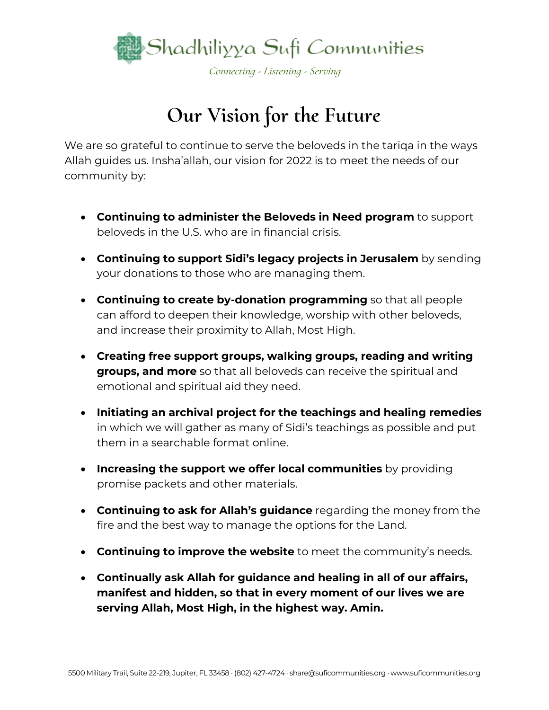

# **Our Vision for the Future**

We are so grateful to continue to serve the beloveds in the tariqa in the ways Allah guides us. Insha'allah, our vision for 2022 is to meet the needs of our community by:

- **Continuing to administer the Beloveds in Need program** to support beloveds in the U.S. who are in financial crisis.
- **Continuing to support Sidi's legacy projects in Jerusalem** by sending your donations to those who are managing them.
- **Continuing to create by-donation programming** so that all people can afford to deepen their knowledge, worship with other beloveds, and increase their proximity to Allah, Most High.
- **Creating free support groups, walking groups, reading and writing groups, and more** so that all beloveds can receive the spiritual and emotional and spiritual aid they need.
- **Initiating an archival project for the teachings and healing remedies** in which we will gather as many of Sidi's teachings as possible and put them in a searchable format online.
- **Increasing the support we offer local communities** by providing promise packets and other materials.
- **Continuing to ask for Allah's guidance** regarding the money from the fire and the best way to manage the options for the Land.
- **Continuing to improve the website** to meet the community's needs.
- **Continually ask Allah for guidance and healing in all of our affairs, manifest and hidden, so that in every moment of our lives we are serving Allah, Most High, in the highest way. Amin.**